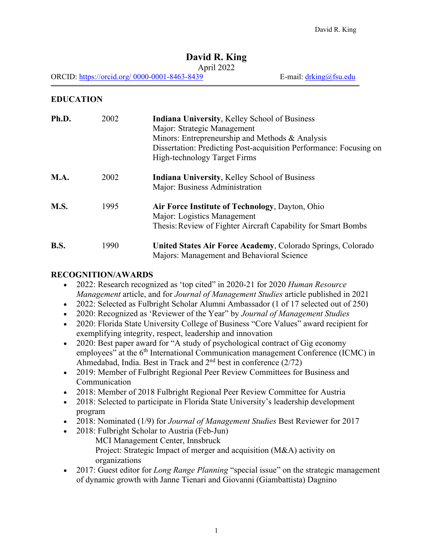## **David R. King**

#### April 2022

ORCID: https://orcid.org/ 0000-0001-8463-8439 E-mail: drking@fsu.edu

## **EDUCATION**

| Ph.D.       | 2002 | <b>Indiana University, Kelley School of Business</b><br>Major: Strategic Management<br>Minors: Entrepreneurship and Methods & Analysis<br>Dissertation: Predicting Post-acquisition Performance: Focusing on<br><b>High-technology Target Firms</b> |
|-------------|------|-----------------------------------------------------------------------------------------------------------------------------------------------------------------------------------------------------------------------------------------------------|
| <b>M.A.</b> | 2002 | Indiana University, Kelley School of Business<br>Major: Business Administration                                                                                                                                                                     |
| <b>M.S.</b> | 1995 | Air Force Institute of Technology, Dayton, Ohio<br>Major: Logistics Management<br>Thesis: Review of Fighter Aircraft Capability for Smart Bombs                                                                                                     |
| <b>B.S.</b> | 1990 | United States Air Force Academy, Colorado Springs, Colorado<br>Majors: Management and Behavioral Science                                                                                                                                            |

### **RECOGNITION/AWARDS**

- 2022: Research recognized as 'top cited" in 2020-21 for 2020 *Human Resource Management* article, and for *Journal of Management Studies* article published in 2021
- 2022: Selected as Fulbright Scholar Alumni Ambassador (1 of 17 selected out of 250)
- 2020: Recognized as 'Reviewer of the Year" by *Journal of Management Studies*
- 2020: Florida State University College of Business "Core Values" award recipient for exemplifying integrity, respect, leadership and innovation
- 2020: Best paper award for "A study of psychological contract of Gig economy employees" at the  $6<sup>th</sup>$  International Communication management Conference (ICMC) in Ahmedabad, India. Best in Track and  $2<sup>nd</sup>$  best in conference (2/72)
- 2019: Member of Fulbright Regional Peer Review Committees for Business and Communication
- 2018: Member of 2018 Fulbright Regional Peer Review Committee for Austria
- 2018: Selected to participate in Florida State University's leadership development program
- 2018: Nominated (1/9) for *Journal of Management Studies* Best Reviewer for 2017
- 2018: Fulbright Scholar to Austria (Feb-Jun) MCI Management Center, Innsbruck Project: Strategic Impact of merger and acquisition (M&A) activity on organizations
- 2017: Guest editor for *Long Range Planning* "special issue" on the strategic management of dynamic growth with Janne Tienari and Giovanni (Giambattista) Dagnino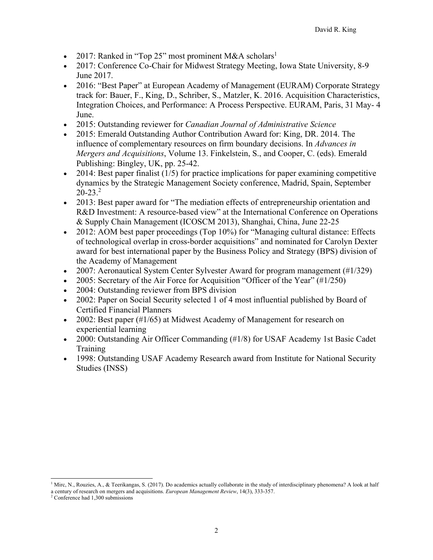- 2017: Ranked in "Top 25" most prominent M&A scholars<sup>1</sup>
- 2017: Conference Co-Chair for Midwest Strategy Meeting, Iowa State University, 8-9 June 2017.
- 2016: "Best Paper" at European Academy of Management (EURAM) Corporate Strategy track for: Bauer, F., King, D., Schriber, S., Matzler, K. 2016. Acquisition Characteristics, Integration Choices, and Performance: A Process Perspective. EURAM, Paris, 31 May- 4 June.
- 2015: Outstanding reviewer for *Canadian Journal of Administrative Science*
- 2015: Emerald Outstanding Author Contribution Award for: King, DR. 2014. The influence of complementary resources on firm boundary decisions. In *Advances in Mergers and Acquisitions*, Volume 13. Finkelstein, S., and Cooper, C. (eds). Emerald Publishing: Bingley, UK, pp. 25-42.
- $\bullet$  2014: Best paper finalist (1/5) for practice implications for paper examining competitive dynamics by the Strategic Management Society conference, Madrid, Spain, September  $20-23.<sup>2</sup>$
- 2013: Best paper award for "The mediation effects of entrepreneurship orientation and R&D Investment: A resource-based view" at the International Conference on Operations & Supply Chain Management (ICOSCM 2013), Shanghai, China, June 22-25
- 2012: AOM best paper proceedings (Top 10%) for "Managing cultural distance: Effects of technological overlap in cross-border acquisitions" and nominated for Carolyn Dexter award for best international paper by the Business Policy and Strategy (BPS) division of the Academy of Management
- 2007: Aeronautical System Center Sylvester Award for program management (#1/329)
- 2005: Secretary of the Air Force for Acquisition "Officer of the Year"  $(\text{\#1/250})$
- 2004: Outstanding reviewer from BPS division
- 2002: Paper on Social Security selected 1 of 4 most influential published by Board of Certified Financial Planners
- 2002: Best paper (#1/65) at Midwest Academy of Management for research on experiential learning
- 2000: Outstanding Air Officer Commanding (#1/8) for USAF Academy 1st Basic Cadet Training
- 1998: Outstanding USAF Academy Research award from Institute for National Security Studies (INSS)

<sup>&</sup>lt;sup>1</sup> Mirc, N., Rouzies, A., & Teerikangas, S. (2017). Do academics actually collaborate in the study of interdisciplinary phenomena? A look at half a century of research on mergers and acquisitions. *European Management Review*, 14(3), 333-357. <sup>2</sup> Conference had 1,300 submissions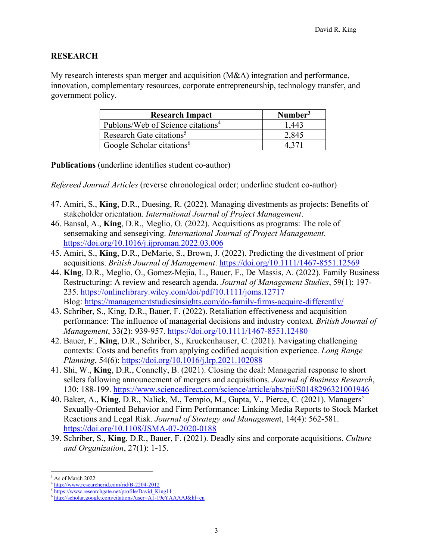### **RESEARCH**

My research interests span merger and acquisition (M&A) integration and performance, innovation, complementary resources, corporate entrepreneurship, technology transfer, and government policy.

| <b>Research Impact</b>                        | Number <sup>3</sup> |
|-----------------------------------------------|---------------------|
| Publons/Web of Science citations <sup>4</sup> | 1,443               |
| Research Gate citations <sup>5</sup>          | 2.845               |
| Google Scholar citations <sup>6</sup>         |                     |

**Publications** (underline identifies student co-author)

*Refereed Journal Articles* (reverse chronological order; underline student co-author)

- 47. Amiri, S., **King**, D.R., Duesing, R. (2022). Managing divestments as projects: Benefits of stakeholder orientation. *International Journal of Project Management*.
- 46. Bansal, A., **King**, D.R., Meglio, O. (2022). Acquisitions as programs: The role of sensemaking and sensegiving. *International Journal of Project Management*. https://doi.org/10.1016/j.ijproman.2022.03.006
- 45. Amiri, S., **King**, D.R., DeMarie, S., Brown, J. (2022). Predicting the divestment of prior acquisitions. *British Journal of Management*. https://doi.org/10.1111/1467-8551.12569
- 44. **King**, D.R., Meglio, O., Gomez-Mejia, L., Bauer, F., De Massis, A. (2022). Family Business Restructuring: A review and research agenda. *Journal of Management Studies*, 59(1): 197- 235. https://onlinelibrary.wiley.com/doi/pdf/10.1111/joms.12717 Blog: https://managementstudiesinsights.com/do-family-firms-acquire-differently/
- 43. Schriber, S., King, D.R., Bauer, F. (2022). Retaliation effectiveness and acquisition performance: The influence of managerial decisions and industry context*. British Journal of Management*, 33(2): 939-957. https://doi.org/10.1111/1467-8551.12480
- 42. Bauer, F., **King**, D.R., Schriber, S., Kruckenhauser, C. (2021). Navigating challenging contexts: Costs and benefits from applying codified acquisition experience. *Long Range Planning*, 54(6): https://doi.org/10.1016/j.lrp.2021.102088
- 41. Shi, W., **King**, D.R., Connelly, B. (2021). Closing the deal: Managerial response to short sellers following announcement of mergers and acquisitions. *Journal of Business Research*, 130: 188-199. https://www.sciencedirect.com/science/article/abs/pii/S0148296321001946
- 40. Baker, A., **King**, D.R., Nalick, M., Tempio, M., Gupta, V., Pierce, C. (2021). Managers' Sexually-Oriented Behavior and Firm Performance: Linking Media Reports to Stock Market Reactions and Legal Risk. *Journal of Strategy and Managemen*t, 14(4): 562-581. https://doi.org/10.1108/JSMA-07-2020-0188
- 39. Schriber, S., **King**, D.R., Bauer, F. (2021). Deadly sins and corporate acquisitions. *Culture and Organization*, 27(1): 1-15.

<sup>3</sup> As of March 2022

<sup>4</sup> http://www.researcherid.com/rid/B-2204-2012

<sup>&</sup>lt;sup>5</sup> https://www.researchgate.net/profile/David\_King11<br><sup>6</sup> http://scholar.google.com/citations?user=A1-19eYAAAAJ&hl=en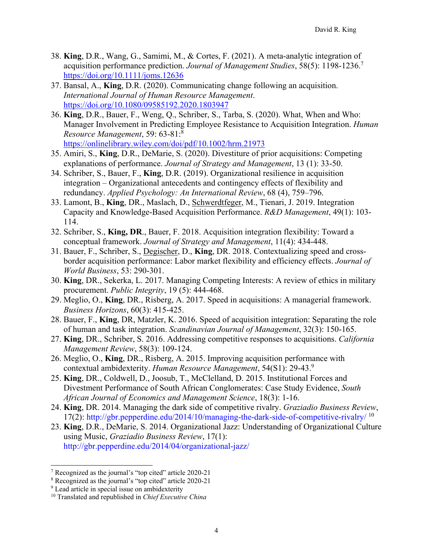- 38. **King**, D.R., Wang, G., Samimi, M., & Cortes, F. (2021). A meta-analytic integration of acquisition performance prediction. *Journal of Management Studies*, 58(5): 1198-1236.7 https://doi.org/10.1111/joms.12636
- 37. Bansal, A., **King**, D.R. (2020). Communicating change following an acquisition. *International Journal of Human Resource Management*. https://doi.org/10.1080/09585192.2020.1803947
- 36. **King**, D.R., Bauer, F., Weng, Q., Schriber, S., Tarba, S. (2020). What, When and Who: Manager Involvement in Predicting Employee Resistance to Acquisition Integration. *Human Resource Management*, 59: 63-81:8 https://onlinelibrary.wiley.com/doi/pdf/10.1002/hrm.21973
- 35. Amiri, S., **King**, D.R., DeMarie, S. (2020). Divestiture of prior acquisitions: Competing explanations of performance. *Journal of Strategy and Management*, 13 (1): 33-50.
- 34. Schriber, S., Bauer, F., **King**, D.R. (2019). Organizational resilience in acquisition integration – Organizational antecedents and contingency effects of flexibility and redundancy. *Applied Psychology: An International Review*, 68 (4), 759–796.
- 33. Lamont, B., **King**, DR., Maslach, D., Schwerdtfeger, M., Tienari, J. 2019. Integration Capacity and Knowledge-Based Acquisition Performance. *R&D Management*, 49(1): 103- 114.
- 32. Schriber, S., **King, DR**., Bauer, F. 2018. Acquisition integration flexibility: Toward a conceptual framework. *Journal of Strategy and Management*, 11(4): 434-448.
- 31. Bauer, F., Schriber, S., Degischer, D., **King**, DR. 2018. Contextualizing speed and crossborder acquisition performance: Labor market flexibility and efficiency effects. *Journal of World Business*, 53: 290-301.
- 30. **King**, DR., Sekerka, L. 2017. Managing Competing Interests: A review of ethics in military procurement. *Public Integrity*, 19 (5): 444-468.
- 29. Meglio, O., **King**, DR., Risberg, A. 2017. Speed in acquisitions: A managerial framework. *Business Horizons*, 60(3): 415-425.
- 28. Bauer, F., **King**, DR, Matzler, K. 2016. Speed of acquisition integration: Separating the role of human and task integration. *Scandinavian Journal of Management*, 32(3): 150-165.
- 27. **King**, DR., Schriber, S. 2016. Addressing competitive responses to acquisitions. *California Management Review*, 58(3): 109-124.
- 26. Meglio, O., **King**, DR., Risberg, A. 2015. Improving acquisition performance with contextual ambidexterity. *Human Resource Management*, 54(S1): 29-43.9
- 25. **King**, DR., Coldwell, D., Joosub, T., McClelland, D. 2015. Institutional Forces and Divestment Performance of South African Conglomerates: Case Study Evidence, *South African Journal of Economics and Management Science*, 18(3): 1-16.
- 24. **King**, DR. 2014. Managing the dark side of competitive rivalry. *Graziadio Business Review*, 17(2): http://gbr.pepperdine.edu/2014/10/managing-the-dark-side-of-competitive-rivalry/  $^{10}$
- 23. **King**, D.R., DeMarie, S. 2014. Organizational Jazz: Understanding of Organizational Culture using Music, *Graziadio Business Review*, 17(1): http://gbr.pepperdine.edu/2014/04/organizational-jazz/

<sup>7</sup> Recognized as the journal's "top cited" article 2020-21

<sup>8</sup> Recognized as the journal's "top cited" article 2020-21

<sup>&</sup>lt;sup>9</sup> Lead article in special issue on ambidexterity

<sup>10</sup> Translated and republished in *Chief Executive China*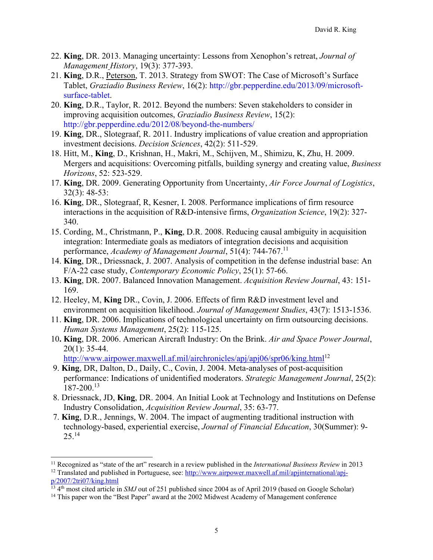- 22. **King**, DR. 2013. Managing uncertainty: Lessons from Xenophon's retreat, *Journal of Management History*, 19(3): 377-393.
- 21. **King**, D.R., Peterson, T. 2013. Strategy from SWOT: The Case of Microsoft's Surface Tablet, *Graziadio Business Review*, 16(2): http://gbr.pepperdine.edu/2013/09/microsoftsurface-tablet.
- 20. **King**, D.R., Taylor, R. 2012. Beyond the numbers: Seven stakeholders to consider in improving acquisition outcomes, *Graziadio Business Review*, 15(2): http://gbr.pepperdine.edu/2012/08/beyond-the-numbers/
- 19. **King**, DR., Slotegraaf, R. 2011. Industry implications of value creation and appropriation investment decisions. *Decision Sciences*, 42(2): 511-529.
- 18. Hitt, M., **King**, D., Krishnan, H., Makri, M., Schijven, M., Shimizu, K, Zhu, H. 2009. Mergers and acquisitions: Overcoming pitfalls, building synergy and creating value, *Business Horizons*, 52: 523-529.
- 17. **King**, DR. 2009. Generating Opportunity from Uncertainty, *Air Force Journal of Logistics*, 32(3): 48-53:
- 16. **King**, DR., Slotegraaf, R, Kesner, I. 2008. Performance implications of firm resource interactions in the acquisition of R&D-intensive firms, *Organization Science*, 19(2): 327- 340.
- 15. Cording, M., Christmann, P., **King**, D.R. 2008. Reducing causal ambiguity in acquisition integration: Intermediate goals as mediators of integration decisions and acquisition performance, *Academy of Management Journal*, 51(4): 744-767.11
- 14. **King**, DR., Driessnack, J. 2007. Analysis of competition in the defense industrial base: An F/A-22 case study, *Contemporary Economic Policy*, 25(1): 57-66.
- 13. **King**, DR. 2007. Balanced Innovation Management. *Acquisition Review Journal*, 43: 151- 169.
- 12. Heeley, M, **King** DR., Covin, J. 2006. Effects of firm R&D investment level and environment on acquisition likelihood. *Journal of Management Studies*, 43(7): 1513-1536.
- 11. **King**, DR. 2006. Implications of technological uncertainty on firm outsourcing decisions. *Human Systems Management*, 25(2): 115-125.
- 10**. King**, DR. 2006. American Aircraft Industry: On the Brink. *Air and Space Power Journal*, 20(1): 35-44.

http://www.airpower.maxwell.af.mil/airchronicles/apj/apj06/spr06/king.html<sup>12</sup>

- 9. **King**, DR, Dalton, D., Daily, C., Covin, J. 2004. Meta-analyses of post-acquisition performance: Indications of unidentified moderators. *Strategic Management Journal*, 25(2): 187-200.13
- 8. Driessnack, JD, **King**, DR. 2004. An Initial Look at Technology and Institutions on Defense Industry Consolidation, *Acquisition Review Journal*, 35: 63-77.
- 7. **King**, D.R., Jennings, W. 2004. The impact of augmenting traditional instruction with technology-based, experiential exercise, *Journal of Financial Education*, 30(Summer): 9-  $25.<sup>14</sup>$

<sup>&</sup>lt;sup>11</sup> Recognized as "state of the art" research in a review published in the *International Business Review* in 2013<br><sup>12</sup> Translated and published in Portuguese, see: <u>http://www.airpower.maxwell.af.mil/apjinternational/apj</u>

 $\frac{13}{13}$  4<sup>th</sup> most cited article in *SMJ* out of 251 published since 2004 as of April 2019 (based on Google Scholar)<br><sup>14</sup> This paper won the "Best Paper" award at the 2002 Midwest Academy of Management conference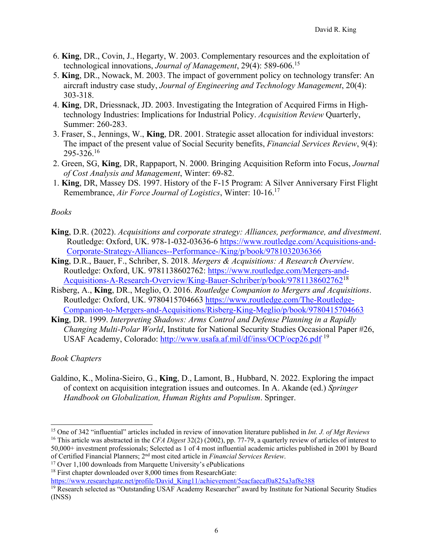- 6. **King**, DR., Covin, J., Hegarty, W. 2003. Complementary resources and the exploitation of technological innovations, *Journal of Management*, 29(4): 589-606.15
- 5. **King**, DR., Nowack, M. 2003. The impact of government policy on technology transfer: An aircraft industry case study, *Journal of Engineering and Technology Management*, 20(4): 303-318.
- 4. **King**, DR, Driessnack, JD. 2003. Investigating the Integration of Acquired Firms in Hightechnology Industries: Implications for Industrial Policy. *Acquisition Review* Quarterly, Summer: 260-283.
- 3. Fraser, S., Jennings, W., **King**, DR. 2001. Strategic asset allocation for individual investors: The impact of the present value of Social Security benefits, *Financial Services Review*, 9(4):  $295 - 326$ .<sup>16</sup>
- 2. Green, SG, **King**, DR, Rappaport, N. 2000. Bringing Acquisition Reform into Focus, *Journal of Cost Analysis and Management*, Winter: 69-82.
- 1. **King**, DR, Massey DS. 1997. History of the F-15 Program: A Silver Anniversary First Flight Remembrance, *Air Force Journal of Logistics*, Winter: 10-16.17

#### *Books*

- **King**, D.R. (2022). *Acquisitions and corporate strategy: Alliances, performance, and divestment*. Routledge: Oxford, UK. 978-1-032-03636-6 https://www.routledge.com/Acquisitions-and-Corporate-Strategy-Alliances--Performance-/King/p/book/9781032036366
- **King**, D.R., Bauer, F., Schriber, S. 2018. *Mergers & Acquisitions: A Research Overview*. Routledge: Oxford, UK. 9781138602762: https://www.routledge.com/Mergers-and-Acquisitions-A-Research-Overview/King-Bauer-Schriber/p/book/978113860276218
- Risberg, A., **King**, DR., Meglio, O. 2016. *Routledge Companion to Mergers and Acquisitions*. Routledge: Oxford, UK. 9780415704663 https://www.routledge.com/The-Routledge-Companion-to-Mergers-and-Acquisitions/Risberg-King-Meglio/p/book/9780415704663
- **King**, DR. 1999. *Interpreting Shadows: Arms Control and Defense Planning in a Rapidly Changing Multi-Polar World*, Institute for National Security Studies Occasional Paper #26, USAF Academy, Colorado: http://www.usafa.af.mil/df/inss/OCP/ocp26.pdf 19

#### *Book Chapters*

Galdino, K., Molina-Sieiro, G., **King**, D., Lamont, B., Hubbard, N. 2022. Exploring the impact of context on acquisition integration issues and outcomes. In A. Akande (ed.) *Springer Handbook on Globalization, Human Rights and Populism*. Springer.

https://www.researchgate.net/profile/David\_King11/achievement/5eacfaecaf0a825a3af8e388

<sup>15</sup> One of 342 "influential" articles included in review of innovation literature published in *Int. J. of Mgt Reviews* 16 This article was abstracted in the *CFA Digest* 32(2) (2002), pp. 77-79, a quarterly review of articles of interest to 50,000+ investment professionals; Selected as 1 of 4 most influential academic articles published in 2001 by Board

of Certified Financial Planners; 2nd most cited article in *Financial Services Review*. 17 Over 1,100 downloads from Marquette University's ePublications

<sup>&</sup>lt;sup>18</sup> First chapter downloaded over 8,000 times from ResearchGate:

<sup>&</sup>lt;sup>19</sup> Research selected as "Outstanding USAF Academy Researcher" award by Institute for National Security Studies (INSS)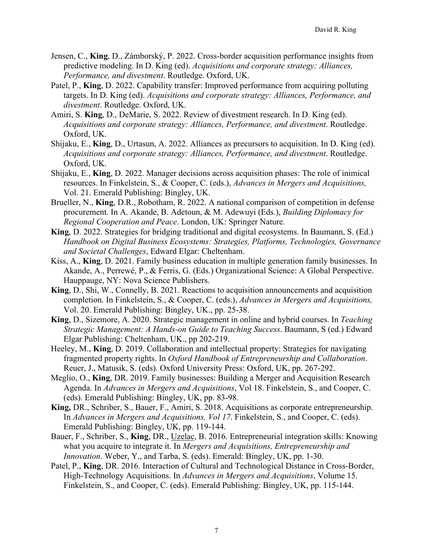- Jensen, C., **King**, D., Zámborský, P. 2022. Cross-border acquisition performance insights from predictive modeling. In D. King (ed). *Acquisitions and corporate strategy: Alliances, Performance, and divestment*. Routledge. Oxford, UK.
- Patel, P., **King**, D. 2022. Capability transfer: Improved performance from acquiring polluting targets. In D. King (ed). *Acquisitions and corporate strategy: Alliances, Performance, and divestment*. Routledge. Oxford, UK.
- Amiri, S. **King**, D., DeMarie, S. 2022. Review of divestment research. In D. King (ed). *Acquisitions and corporate strategy: Alliances, Performance, and divestment*. Routledge. Oxford, UK.
- Shijaku, E., **King**, D., Urtasun, A. 2022. Alliances as precursors to acquisition. In D. King (ed). *Acquisitions and corporate strategy: Alliances, Performance, and divestment*. Routledge. Oxford, UK.
- Shijaku, E., **King**, D. 2022. Manager decisions across acquisition phases: The role of inimical resources. In Finkelstein, S., & Cooper, C. (eds.), *Advances in Mergers and Acquisitions,*  Vol. 21. Emerald Publishing: Bingley, UK.
- Brueller, N., **King**, D.R., Robotham, R. 2022. A national comparison of competition in defense procurement. In A. Akande, B. Adetoun, & M. Adewuyi (Eds.), *Building Diplomacy for Regional Cooperation and Peace*. London, UK: Springer Nature.
- **King**, D. 2022. Strategies for bridging traditional and digital ecosystems. In Baumann, S. (Ed.) *Handbook on Digital Business Ecosystems: Strategies, Platforms, Technologies, Governance and Societal Challenges*, Edward Elgar: Cheltenham.
- Kiss, A., **King**, D. 2021. Family business education in multiple generation family businesses. In Akande, A., Perrewé, P., & Ferris, G. (Eds.) Organizational Science: A Global Perspective. Hauppauge, NY: Nova Science Publishers.
- **King**, D., Shi, W., Connelly, B. 2021. Reactions to acquisition announcements and acquisition completion. In Finkelstein, S., & Cooper, C. (eds.), *Advances in Mergers and Acquisitions,*  Vol. 20. Emerald Publishing: Bingley, UK., pp. 25-38.
- **King**, D., Sizemore, A. 2020. Strategic management in online and hybrid courses. In *Teaching Strategic Management: A Hands-on Guide to Teaching Success*. Baumann, S (ed.) Edward Elgar Publishing: Cheltenham, UK., pp 202-219.
- Heeley, M., **King**, D. 2019. Collaboration and intellectual property: Strategies for navigating fragmented property rights. In *Oxford Handbook of Entrepreneurship and Collaboration*. Reuer, J., Matusik, S. (eds). Oxford University Press: Oxford, UK, pp. 267-292.
- Meglio, O., **King**, DR. 2019. Family businesses: Building a Merger and Acquisition Research Agenda. In *Advances in Mergers and Acquisitions*, Vol 18. Finkelstein, S., and Cooper, C. (eds). Emerald Publishing: Bingley, UK, pp. 83-98.
- **King,** DR., Schriber, S., Bauer, F., Amiri, S. 2018. Acquisitions as corporate entrepreneurship. In *Advances in Mergers and Acquisitions, Vol 17*. Finkelstein, S., and Cooper, C. (eds). Emerald Publishing: Bingley, UK, pp. 119-144.
- Bauer, F., Schriber, S., **King**, DR., Uzelac, B. 2016. Entrepreneurial integration skills: Knowing what you acquire to integrate it. In *Mergers and Acquisitions, Entrepreneurship and Innovation*. Weber, Y., and Tarba, S. (eds). Emerald: Bingley, UK, pp. 1-30.
- Patel, P., **King**, DR. 2016. Interaction of Cultural and Technological Distance in Cross-Border, High-Technology Acquisitions. In *Advances in Mergers and Acquisitions*, Volume 15. Finkelstein, S., and Cooper, C. (eds). Emerald Publishing: Bingley, UK, pp. 115-144.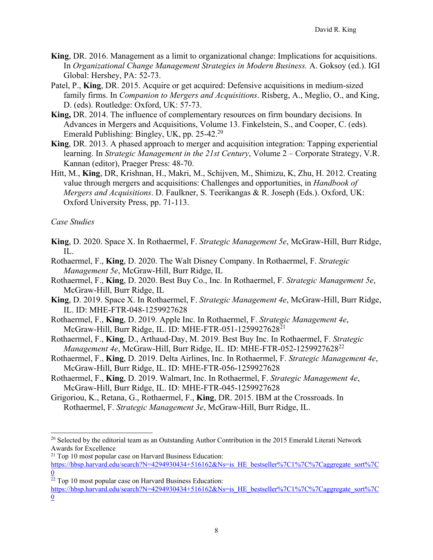- **King**, DR. 2016. Management as a limit to organizational change: Implications for acquisitions. In *Organizational Change Management Strategies in Modern Business.* A. Goksoy (ed.). IGI Global: Hershey, PA: 52-73.
- Patel, P., **King**, DR. 2015. Acquire or get acquired: Defensive acquisitions in medium-sized family firms. In *Companion to Mergers and Acquisitions*. Risberg, A., Meglio, O., and King, D. (eds). Routledge: Oxford, UK: 57-73.
- **King,** DR. 2014. The influence of complementary resources on firm boundary decisions. In Advances in Mergers and Acquisitions, Volume 13. Finkelstein, S., and Cooper, C. (eds). Emerald Publishing: Bingley, UK, pp. 25-42.<sup>20</sup>
- **King**, DR. 2013. A phased approach to merger and acquisition integration: Tapping experiential learning. In *Strategic Management in the 21st Century*, Volume 2 – Corporate Strategy, V.R. Kannan (editor), Praeger Press: 48-70.
- Hitt, M., **King**, DR, Krishnan, H., Makri, M., Schijven, M., Shimizu, K, Zhu, H. 2012. Creating value through mergers and acquisitions: Challenges and opportunities, in *Handbook of Mergers and Acquisitions*. D. Faulkner, S. Teerikangas & R. Joseph (Eds.). Oxford, UK: Oxford University Press, pp. 71-113.

### *Case Studies*

- **King**, D. 2020. Space X. In Rothaermel, F. *Strategic Management 5e*, McGraw-Hill, Burr Ridge,  $\Pi$ .
- Rothaermel, F., **King**, D. 2020. The Walt Disney Company. In Rothaermel, F. *Strategic Management 5e*, McGraw-Hill, Burr Ridge, IL
- Rothaermel, F., **King**, D. 2020. Best Buy Co., Inc. In Rothaermel, F. *Strategic Management 5e*, McGraw-Hill, Burr Ridge, IL
- **King**, D. 2019. Space X. In Rothaermel, F. *Strategic Management 4e*, McGraw-Hill, Burr Ridge, IL. ID: MHE-FTR-048-1259927628
- Rothaermel, F., **King**, D. 2019. Apple Inc. In Rothaermel, F. *Strategic Management 4e*, McGraw-Hill, Burr Ridge, IL. ID: MHE-FTR-051-1259927628<sup>21</sup>
- Rothaermel, F., **King**, D., Arthaud-Day, M. 2019. Best Buy Inc. In Rothaermel, F. *Strategic Management 4e, McGraw-Hill, Burr Ridge, IL. ID: MHE-FTR-052-1259927628<sup>22</sup>*
- Rothaermel, F., **King**, D. 2019. Delta Airlines, Inc. In Rothaermel, F. *Strategic Management 4e*, McGraw-Hill, Burr Ridge, IL. ID: MHE-FTR-056-1259927628
- Rothaermel, F., **King**, D. 2019. Walmart, Inc. In Rothaermel, F. *Strategic Management 4e*, McGraw-Hill, Burr Ridge, IL. ID: MHE-FTR-045-1259927628
- Grigoriou, K., Retana, G., Rothaermel, F., **King**, DR. 2015. IBM at the Crossroads. In Rothaermel, F. *Strategic Management 3e*, McGraw-Hill, Burr Ridge, IL.

<sup>&</sup>lt;sup>20</sup> Selected by the editorial team as an Outstanding Author Contribution in the 2015 Emerald Literati Network Awards for Excellence

 $21$  Top 10 most popular case on Harvard Business Education:

https://hbsp.harvard.edu/search?N=4294930434+516162&Ns=is\_HE\_bestseller%7C1%7C%7Caggregate\_sort%7C  $\overline{0}$ 

 $22$  Top 10 most popular case on Harvard Business Education:

https://hbsp.harvard.edu/search?N=4294930434+516162&Ns=is\_HE\_bestseller%7C1%7C%7Caggregate\_sort%7C 0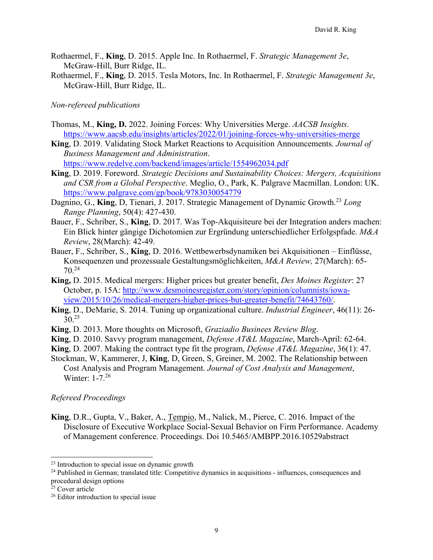- Rothaermel, F., **King**, D. 2015. Apple Inc. In Rothaermel, F. *Strategic Management 3e*, McGraw-Hill, Burr Ridge, IL.
- Rothaermel, F., **King**, D. 2015. Tesla Motors, Inc. In Rothaermel, F. *Strategic Management 3e*, McGraw-Hill, Burr Ridge, IL.

#### *Non-refereed publications*

- Thomas, M., **King, D.** 2022. Joining Forces: Why Universities Merge. *AACSB Insights*. https://www.aacsb.edu/insights/articles/2022/01/joining-forces-why-universities-merge
- **King**, D. 2019. Validating Stock Market Reactions to Acquisition Announcements. *Journal of Business Management and Administration*. https://www.redelve.com/backend/images/article/1554962034.pdf
- **King**, D. 2019. Foreword. *Strategic Decisions and Sustainability Choices: Mergers, Acquisitions and CSR from a Global Perspective*. Meglio, O., Park, K. Palgrave Macmillan. London: UK. https://www.palgrave.com/gp/book/9783030054779
- Dagnino, G., **King**, D., Tienari, J. 2017. Strategic Management of Dynamic Growth.<sup>23</sup> Long *Range Planning*, 50(4): 427-430.
- Bauer, F., Schriber, S., **King**, D. 2017. Was Top-Akquisiteure bei der Integration anders machen: Ein Blick hinter gängige Dichotomien zur Ergründung unterschiedlicher Erfolgspfade. *M&A Review*, 28(March): 42-49.
- Bauer, F., Schriber, S., **King**, D. 2016. Wettbewerbsdynamiken bei Akquisitionen Einflüsse, Konsequenzen und prozessuale Gestaltungsmöglichkeiten, *M&A Review,* 27(March): 65- 70.<sup>24</sup>
- **King,** D. 2015. Medical mergers: Higher prices but greater benefit, *Des Moines Register*: 27 October, p. 15A: http://www.desmoinesregister.com/story/opinion/columnists/iowaview/2015/10/26/medical-mergers-higher-prices-but-greater-benefit/74643760/.
- **King**, D., DeMarie, S. 2014. Tuning up organizational culture. *Industrial Engineer*, 46(11): 26-  $30^{25}$
- **King**, D. 2013. More thoughts on Microsoft, *Graziadio Businees Review Blog*.
- **King**, D. 2010. Savvy program management, *Defense AT&L Magazine*, March-April: 62-64.
- **King**, D. 2007. Making the contract type fit the program, *Defense AT&L Magazine*, 36(1): 47.
- Stockman, W, Kammerer, J, **King**, D, Green, S, Greiner, M. 2002. The Relationship between Cost Analysis and Program Management. *Journal of Cost Analysis and Management*, Winter: 1-7.26

## *Refereed Proceedings*

**King**, D.R., Gupta, V., Baker, A., Tempio, M., Nalick, M., Pierce, C. 2016. Impact of the Disclosure of Executive Workplace Social-Sexual Behavior on Firm Performance. Academy of Management conference. Proceedings. Doi 10.5465/AMBPP.2016.10529abstract

 $23$  Introduction to special issue on dynamic growth

<sup>&</sup>lt;sup>24</sup> Published in German; translated title: Competitive dynamics in acquisitions - influences, consequences and procedural design options

<sup>&</sup>lt;sup>25</sup> Cover article

<sup>&</sup>lt;sup>26</sup> Editor introduction to special issue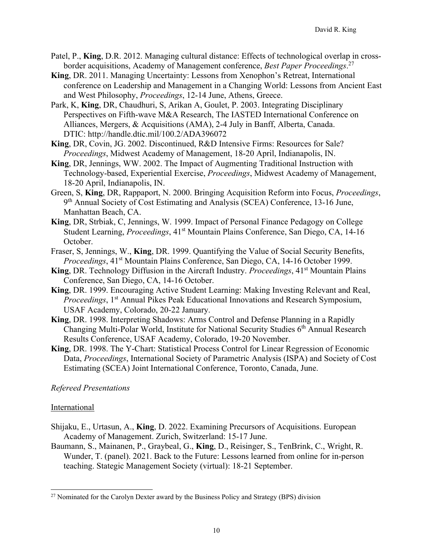- Patel, P., **King**, D.R. 2012. Managing cultural distance: Effects of technological overlap in crossborder acquisitions, Academy of Management conference, *Best Paper Proceedings*. 27
- **King**, DR. 2011. Managing Uncertainty: Lessons from Xenophon's Retreat, International conference on Leadership and Management in a Changing World: Lessons from Ancient East and West Philosophy, *Proceedings*, 12-14 June, Athens, Greece.
- Park, K, **King**, DR, Chaudhuri, S, Arikan A, Goulet, P. 2003. Integrating Disciplinary Perspectives on Fifth-wave M&A Research, The IASTED International Conference on Alliances, Mergers, & Acquisitions (AMA), 2-4 July in Banff, Alberta, Canada. DTIC: http://handle.dtic.mil/100.2/ADA396072
- **King**, DR, Covin, JG. 2002. Discontinued, R&D Intensive Firms: Resources for Sale? *Proceedings*, Midwest Academy of Management, 18-20 April, Indianapolis, IN.
- **King**, DR, Jennings, WW. 2002. The Impact of Augmenting Traditional Instruction with Technology-based, Experiential Exercise, *Proceedings*, Midwest Academy of Management, 18-20 April, Indianapolis, IN.
- Green, S, **King**, DR, Rappaport, N. 2000. Bringing Acquisition Reform into Focus, *Proceedings*, 9th Annual Society of Cost Estimating and Analysis (SCEA) Conference, 13-16 June, Manhattan Beach, CA.
- **King**, DR, Strbiak, C, Jennings, W. 1999. Impact of Personal Finance Pedagogy on College Student Learning, *Proceedings*, 41<sup>st</sup> Mountain Plains Conference, San Diego, CA, 14-16 October.
- Fraser, S, Jennings, W., **King**, DR. 1999. Quantifying the Value of Social Security Benefits, *Proceedings*, 41<sup>st</sup> Mountain Plains Conference, San Diego, CA, 14-16 October 1999.
- King, DR. Technology Diffusion in the Aircraft Industry. *Proceedings*, 41<sup>st</sup> Mountain Plains Conference, San Diego, CA, 14-16 October.
- **King**, DR. 1999. Encouraging Active Student Learning: Making Investing Relevant and Real, *Proceedings*, 1<sup>st</sup> Annual Pikes Peak Educational Innovations and Research Symposium, USAF Academy, Colorado, 20-22 January.
- **King**, DR. 1998. Interpreting Shadows: Arms Control and Defense Planning in a Rapidly Changing Multi-Polar World, Institute for National Security Studies  $6<sup>th</sup>$  Annual Research Results Conference, USAF Academy, Colorado, 19-20 November.
- **King**, DR. 1998. The Y-Chart: Statistical Process Control for Linear Regression of Economic Data, *Proceedings*, International Society of Parametric Analysis (ISPA) and Society of Cost Estimating (SCEA) Joint International Conference, Toronto, Canada, June.

## *Refereed Presentations*

#### International

- Shijaku, E., Urtasun, A., **King**, D. 2022. Examining Precursors of Acquisitions. European Academy of Management. Zurich, Switzerland: 15-17 June.
- Baumann, S., Mainanen, P., Graybeal, G., **King**, D., Reisinger, S., TenBrink, C., Wright, R. Wunder, T. (panel). 2021. Back to the Future: Lessons learned from online for in-person teaching. Stategic Management Society (virtual): 18-21 September.

 $27$  Nominated for the Carolyn Dexter award by the Business Policy and Strategy (BPS) division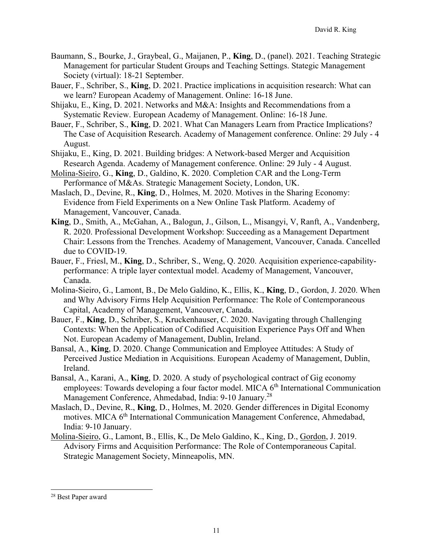- Baumann, S., Bourke, J., Graybeal, G., Maijanen, P., **King**, D., (panel). 2021. Teaching Strategic Management for particular Student Groups and Teaching Settings. Stategic Management Society (virtual): 18-21 September.
- Bauer, F., Schriber, S., **King**, D. 2021. Practice implications in acquisition research: What can we learn? European Academy of Management. Online: 16-18 June.
- Shijaku, E., King, D. 2021. Networks and M&A: Insights and Recommendations from a Systematic Review. European Academy of Management. Online: 16-18 June.
- Bauer, F., Schriber, S., **King**, D. 2021. What Can Managers Learn from Practice Implications? The Case of Acquisition Research. Academy of Management conference. Online: 29 July - 4 August.
- Shijaku, E., King, D. 2021. Building bridges: A Network-based Merger and Acquisition Research Agenda. Academy of Management conference. Online: 29 July - 4 August.
- Molina-Sieiro, G., **King**, D., Galdino, K. 2020. Completion CAR and the Long-Term Performance of M&As. Strategic Management Society, London, UK.
- Maslach, D., Devine, R., **King**, D., Holmes, M. 2020. Motives in the Sharing Economy: Evidence from Field Experiments on a New Online Task Platform. Academy of Management, Vancouver, Canada.
- **King**, D., Smith, A., McGahan, A., Balogun, J., Gilson, L., Misangyi, V, Ranft, A., Vandenberg, R. 2020. Professional Development Workshop: Succeeding as a Management Department Chair: Lessons from the Trenches. Academy of Management, Vancouver, Canada. Cancelled due to COVID-19.
- Bauer, F., Friesl, M., **King**, D., Schriber, S., Weng, Q. 2020. Acquisition experience-capabilityperformance: A triple layer contextual model. Academy of Management, Vancouver, Canada.
- Molina-Sieiro, G., Lamont, B., De Melo Galdino, K., Ellis, K., **King**, D., Gordon, J. 2020. When and Why Advisory Firms Help Acquisition Performance: The Role of Contemporaneous Capital, Academy of Management, Vancouver, Canada.
- Bauer, F., **King**, D., Schriber, S., Kruckenhauser, C. 2020. Navigating through Challenging Contexts: When the Application of Codified Acquisition Experience Pays Off and When Not. European Academy of Management, Dublin, Ireland.
- Bansal, A., **King**, D. 2020. Change Communication and Employee Attitudes: A Study of Perceived Justice Mediation in Acquisitions. European Academy of Management, Dublin, Ireland.
- Bansal, A., Karani, A., **King**, D. 2020. A study of psychological contract of Gig economy employees: Towards developing a four factor model. MICA 6<sup>th</sup> International Communication Management Conference, Ahmedabad, India: 9-10 January.<sup>28</sup>
- Maslach, D., Devine, R., **King**, D., Holmes, M. 2020. Gender differences in Digital Economy motives. MICA 6<sup>th</sup> International Communication Management Conference, Ahmedabad, India: 9-10 January.
- Molina-Sieiro, G., Lamont, B., Ellis, K., De Melo Galdino, K., King, D., Gordon, J. 2019. Advisory Firms and Acquisition Performance: The Role of Contemporaneous Capital. Strategic Management Society, Minneapolis, MN.

<sup>28</sup> Best Paper award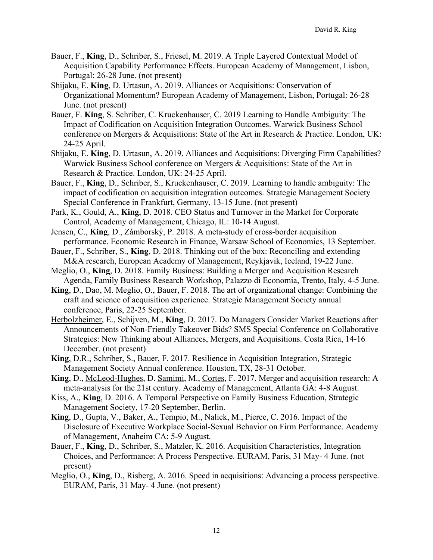- Bauer, F., **King**, D., Schriber, S., Friesel, M. 2019. A Triple Layered Contextual Model of Acquisition Capability Performance Effects. European Academy of Management, Lisbon, Portugal: 26-28 June. (not present)
- Shijaku, E. **King**, D. Urtasun, A. 2019. Alliances or Acquisitions: Conservation of Organizational Momentum? European Academy of Management, Lisbon, Portugal: 26-28 June. (not present)
- Bauer, F. **King**, S. Schriber, C. Kruckenhauser, C. 2019 Learning to Handle Ambiguity: The Impact of Codification on Acquisition Integration Outcomes. Warwick Business School conference on Mergers & Acquisitions: State of the Art in Research & Practice. London, UK: 24-25 April.
- Shijaku, E. **King**, D. Urtasun, A. 2019. Alliances and Acquisitions: Diverging Firm Capabilities? Warwick Business School conference on Mergers & Acquisitions: State of the Art in Research & Practice. London, UK: 24-25 April.
- Bauer, F., **King**, D., Schriber, S., Kruckenhauser, C. 2019. Learning to handle ambiguity: The impact of codification on acquisition integration outcomes. Strategic Management Society Special Conference in Frankfurt, Germany, 13-15 June. (not present)
- Park, K., Gould, A., **King**, D. 2018. CEO Status and Turnover in the Market for Corporate Control, Academy of Management, Chicago, IL: 10-14 August.
- Jensen, C., **King**, D., Zámborský, P. 2018. A meta-study of cross-border acquisition performance. Economic Research in Finance, Warsaw School of Economics, 13 September.
- Bauer, F., Schriber, S., **King**, D. 2018. Thinking out of the box: Reconciling and extending M&A research, European Academy of Management, Reykjavik, Iceland, 19-22 June.
- Meglio, O., **King**, D. 2018. Family Business: Building a Merger and Acquisition Research Agenda, Family Business Research Workshop, Palazzo di Economia, Trento, Italy, 4-5 June.
- **King**, D., Dao, M. Meglio, O., Bauer, F. 2018. The art of organizational change: Combining the craft and science of acquisition experience. Strategic Management Society annual conference, Paris, 22-25 September.
- Herbolzheimer, E., Schijven, M., **King**, D. 2017. Do Managers Consider Market Reactions after Announcements of Non-Friendly Takeover Bids? SMS Special Conference on Collaborative Strategies: New Thinking about Alliances, Mergers, and Acquisitions. Costa Rica, 14-16 December. (not present)
- **King**, D.R., Schriber, S., Bauer, F. 2017. Resilience in Acquisition Integration, Strategic Management Society Annual conference. Houston, TX, 28-31 October.
- **King**, D., McLeod-Hughes, D. Samimi, M., Cortes, F. 2017. Merger and acquisition research: A meta-analysis for the 21st century. Academy of Management, Atlanta GA: 4-8 August.
- Kiss, A., **King**, D. 2016. A Temporal Perspective on Family Business Education, Strategic Management Society, 17-20 September, Berlin.
- **King**, D., Gupta, V., Baker, A., Tempio, M., Nalick, M., Pierce, C. 2016. Impact of the Disclosure of Executive Workplace Social-Sexual Behavior on Firm Performance. Academy of Management, Anaheim CA: 5-9 August.
- Bauer, F., **King**, D., Schriber, S., Matzler, K. 2016. Acquisition Characteristics, Integration Choices, and Performance: A Process Perspective. EURAM, Paris, 31 May- 4 June. (not present)
- Meglio, O., **King**, D., Risberg, A. 2016. Speed in acquisitions: Advancing a process perspective. EURAM, Paris, 31 May- 4 June. (not present)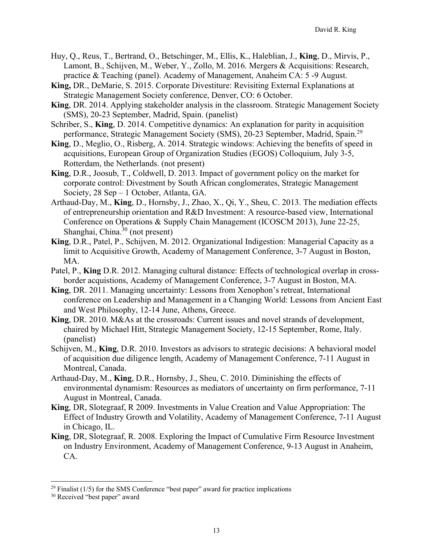- Huy, Q., Reus, T., Bertrand, O., Betschinger, M., Ellis, K., Haleblian, J., **King**, D., Mirvis, P., Lamont, B., Schijven, M., Weber, Y., Zollo, M. 2016. Mergers & Acquisitions: Research, practice & Teaching (panel). Academy of Management, Anaheim CA: 5 -9 August.
- **King,** DR., DeMarie, S. 2015. Corporate Divestiture: Revisiting External Explanations at Strategic Management Society conference, Denver, CO: 6 October.
- **King**, DR. 2014. Applying stakeholder analysis in the classroom. Strategic Management Society (SMS), 20-23 September, Madrid, Spain. (panelist)
- Schriber, S., **King**, D. 2014. Competitive dynamics: An explanation for parity in acquisition performance, Strategic Management Society (SMS), 20-23 September, Madrid, Spain.<sup>29</sup>
- **King**, D., Meglio, O., Risberg, A. 2014. Strategic windows: Achieving the benefits of speed in acquisitions, European Group of Organization Studies (EGOS) Colloquium, July 3-5, Rotterdam, the Netherlands. (not present)
- **King**, D.R., Joosub, T., Coldwell, D. 2013. Impact of government policy on the market for corporate control: Divestment by South African conglomerates, Strategic Management Society, 28 Sep – 1 October, Atlanta, GA.
- Arthaud-Day, M., **King**, D., Hornsby, J., Zhao, X., Qi, Y., Sheu, C. 2013. The mediation effects of entrepreneurship orientation and R&D Investment: A resource-based view, International Conference on Operations & Supply Chain Management (ICOSCM 2013), June 22-25, Shanghai, China.<sup>30</sup> (not present)
- **King**, D.R., Patel, P., Schijven, M. 2012. Organizational Indigestion: Managerial Capacity as a limit to Acquisitive Growth, Academy of Management Conference, 3-7 August in Boston, MA.
- Patel, P., **King** D.R. 2012. Managing cultural distance: Effects of technological overlap in crossborder acquistions, Academy of Management Conference, 3-7 August in Boston, MA.
- **King**, DR. 2011. Managing uncertainty: Lessons from Xenophon's retreat, International conference on Leadership and Management in a Changing World: Lessons from Ancient East and West Philosophy, 12-14 June, Athens, Greece.
- **King**, DR. 2010. M&As at the crossroads: Current issues and novel strands of development, chaired by Michael Hitt, Strategic Management Society, 12-15 September, Rome, Italy. (panelist)
- Schijven, M., **King**, D.R. 2010. Investors as advisors to strategic decisions: A behavioral model of acquisition due diligence length, Academy of Management Conference, 7-11 August in Montreal, Canada.
- Arthaud-Day, M., **King**, D.R., Hornsby, J., Sheu, C. 2010. Diminishing the effects of environmental dynamism: Resources as mediators of uncertainty on firm performance, 7-11 August in Montreal, Canada.
- **King**, DR, Slotegraaf, R 2009. Investments in Value Creation and Value Appropriation: The Effect of Industry Growth and Volatility, Academy of Management Conference, 7-11 August in Chicago, IL.
- **King**, DR, Slotegraaf, R. 2008. Exploring the Impact of Cumulative Firm Resource Investment on Industry Environment, Academy of Management Conference, 9-13 August in Anaheim, CA.

<sup>&</sup>lt;sup>29</sup> Finalist ( $1/5$ ) for the SMS Conference "best paper" award for practice implications  $30$  Received "best paper" award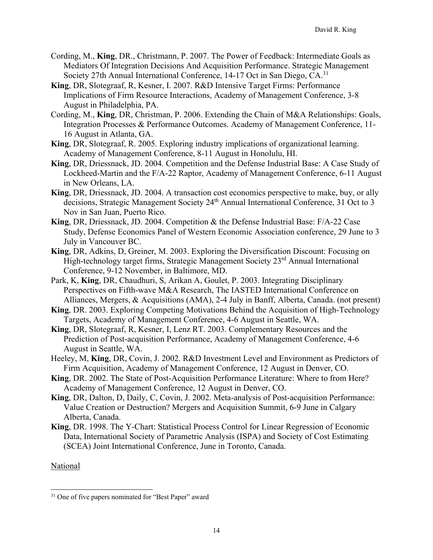- Cording, M., **King**, DR., Christmann, P. 2007. The Power of Feedback: Intermediate Goals as Mediators Of Integration Decisions And Acquisition Performance. Strategic Management Society 27th Annual International Conference, 14-17 Oct in San Diego, CA.<sup>31</sup>
- **King**, DR, Slotegraaf, R, Kesner, I. 2007. R&D Intensive Target Firms: Performance Implications of Firm Resource Interactions, Academy of Management Conference, 3-8 August in Philadelphia, PA.
- Cording, M., **King**, DR, Christman, P. 2006. Extending the Chain of M&A Relationships: Goals, Integration Processes & Performance Outcomes. Academy of Management Conference, 11- 16 August in Atlanta, GA.
- **King**, DR, Slotegraaf, R. 2005. Exploring industry implications of organizational learning. Academy of Management Conference, 8-11 August in Honolulu, HI.
- **King**, DR, Driessnack, JD. 2004. Competition and the Defense Industrial Base: A Case Study of Lockheed-Martin and the F/A-22 Raptor, Academy of Management Conference, 6-11 August in New Orleans, LA.
- **King**, DR, Driessnack, JD. 2004. A transaction cost economics perspective to make, buy, or ally decisions, Strategic Management Society 24<sup>th</sup> Annual International Conference, 31 Oct to 3 Nov in San Juan, Puerto Rico.
- **King**, DR, Driessnack, JD. 2004. Competition & the Defense Industrial Base: F/A-22 Case Study, Defense Economics Panel of Western Economic Association conference, 29 June to 3 July in Vancouver BC.
- **King**, DR, Adkins, D, Greiner, M. 2003. Exploring the Diversification Discount: Focusing on High-technology target firms, Strategic Management Society 23<sup>rd</sup> Annual International Conference, 9-12 November, in Baltimore, MD.
- Park, K, **King**, DR, Chaudhuri, S, Arikan A, Goulet, P. 2003. Integrating Disciplinary Perspectives on Fifth-wave M&A Research, The IASTED International Conference on Alliances, Mergers, & Acquisitions (AMA), 2-4 July in Banff, Alberta, Canada. (not present)
- **King**, DR. 2003. Exploring Competing Motivations Behind the Acquisition of High-Technology Targets, Academy of Management Conference, 4-6 August in Seattle, WA.
- **King**, DR, Slotegraaf, R, Kesner, I, Lenz RT. 2003. Complementary Resources and the Prediction of Post-acquisition Performance, Academy of Management Conference, 4-6 August in Seattle, WA.
- Heeley, M, **King**, DR, Covin, J. 2002. R&D Investment Level and Environment as Predictors of Firm Acquisition, Academy of Management Conference, 12 August in Denver, CO.
- **King**, DR. 2002. The State of Post-Acquisition Performance Literature: Where to from Here? Academy of Management Conference, 12 August in Denver, CO.
- **King**, DR, Dalton, D, Daily, C, Covin, J. 2002. Meta-analysis of Post-acquisition Performance: Value Creation or Destruction? Mergers and Acquisition Summit, 6-9 June in Calgary Alberta, Canada.
- **King**, DR. 1998. The Y-Chart: Statistical Process Control for Linear Regression of Economic Data, International Society of Parametric Analysis (ISPA) and Society of Cost Estimating (SCEA) Joint International Conference, June in Toronto, Canada.

National

<sup>&</sup>lt;sup>31</sup> One of five papers nominated for "Best Paper" award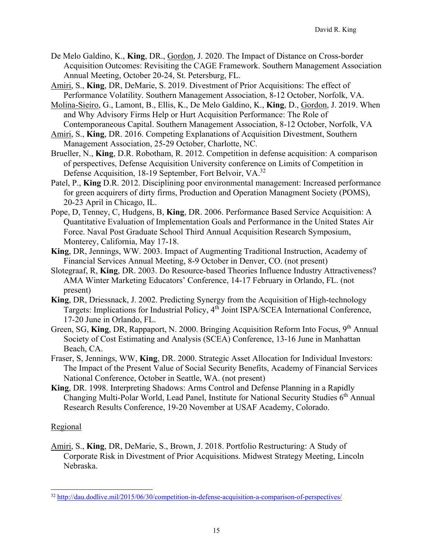- De Melo Galdino, K., **King**, DR., Gordon, J. 2020. The Impact of Distance on Cross-border Acquisition Outcomes: Revisiting the CAGE Framework. Southern Management Association Annual Meeting, October 20-24, St. Petersburg, FL.
- Amiri, S., **King**, DR, DeMarie, S. 2019. Divestment of Prior Acquisitions: The effect of Performance Volatility. Southern Management Association, 8-12 October, Norfolk, VA.
- Molina-Sieiro, G., Lamont, B., Ellis, K., De Melo Galdino, K., **King**, D., Gordon, J. 2019. When and Why Advisory Firms Help or Hurt Acquisition Performance: The Role of Contemporaneous Capital. Southern Management Association, 8-12 October, Norfolk, VA
- Amiri, S., **King**, DR. 2016. Competing Explanations of Acquisition Divestment, Southern Management Association, 25-29 October, Charlotte, NC.
- Brueller, N., **King**, D.R. Robotham, R. 2012. Competition in defense acquisition: A comparison of perspectives, Defense Acquisition University conference on Limits of Competition in Defense Acquisition, 18-19 September, Fort Belvoir, VA.<sup>32</sup>
- Patel, P., **King** D.R. 2012. Disciplining poor environmental management: Increased performance for green acquirers of dirty firms, Production and Operation Managment Society (POMS), 20-23 April in Chicago, IL.
- Pope, D, Tenney, C, Hudgens, B, **King**, DR. 2006. Performance Based Service Acquisition: A Quantitative Evaluation of Implementation Goals and Performance in the United States Air Force. Naval Post Graduate School Third Annual Acquisition Research Symposium, Monterey, California, May 17-18.
- **King**, DR, Jennings, WW. 2003. Impact of Augmenting Traditional Instruction, Academy of Financial Services Annual Meeting, 8-9 October in Denver, CO. (not present)
- Slotegraaf, R, **King**, DR. 2003. Do Resource-based Theories Influence Industry Attractiveness? AMA Winter Marketing Educators' Conference, 14-17 February in Orlando, FL. (not present)
- **King**, DR, Driessnack, J. 2002. Predicting Synergy from the Acquisition of High-technology Targets: Implications for Industrial Policy, 4th Joint ISPA/SCEA International Conference, 17-20 June in Orlando, FL.
- Green, SG, King, DR, Rappaport, N. 2000. Bringing Acquisition Reform Into Focus, 9<sup>th</sup> Annual Society of Cost Estimating and Analysis (SCEA) Conference, 13-16 June in Manhattan Beach, CA.
- Fraser, S, Jennings, WW, **King**, DR. 2000. Strategic Asset Allocation for Individual Investors: The Impact of the Present Value of Social Security Benefits, Academy of Financial Services National Conference, October in Seattle, WA. (not present)
- **King**, DR. 1998. Interpreting Shadows: Arms Control and Defense Planning in a Rapidly Changing Multi-Polar World, Lead Panel, Institute for National Security Studies 6th Annual Research Results Conference, 19-20 November at USAF Academy, Colorado.

## Regional

Amiri, S., **King**, DR, DeMarie, S., Brown, J. 2018. Portfolio Restructuring: A Study of Corporate Risk in Divestment of Prior Acquisitions. Midwest Strategy Meeting, Lincoln Nebraska.

<sup>32</sup> http://dau.dodlive.mil/2015/06/30/competition-in-defense-acquisition-a-comparison-of-perspectives/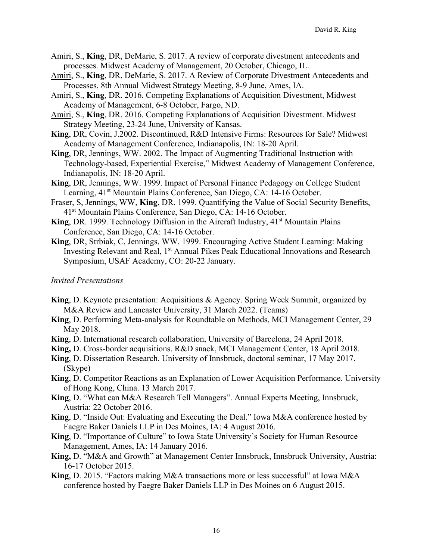- Amiri, S., **King**, DR, DeMarie, S. 2017. A review of corporate divestment antecedents and processes. Midwest Academy of Management, 20 October, Chicago, IL.
- Amiri, S., **King**, DR, DeMarie, S. 2017. A Review of Corporate Divestment Antecedents and Processes. 8th Annual Midwest Strategy Meeting, 8-9 June, Ames, IA.
- Amiri, S., **King**, DR. 2016. Competing Explanations of Acquisition Divestment, Midwest Academy of Management, 6-8 October, Fargo, ND.
- Amiri, S., **King**, DR. 2016. Competing Explanations of Acquisition Divestment. Midwest Strategy Meeting, 23-24 June, University of Kansas.
- **King**, DR, Covin, J.2002. Discontinued, R&D Intensive Firms: Resources for Sale? Midwest Academy of Management Conference, Indianapolis, IN: 18-20 April.
- **King**, DR, Jennings, WW. 2002. The Impact of Augmenting Traditional Instruction with Technology-based, Experiential Exercise," Midwest Academy of Management Conference, Indianapolis, IN: 18-20 April.
- **King**, DR, Jennings, WW. 1999. Impact of Personal Finance Pedagogy on College Student Learning, 41<sup>st</sup> Mountain Plains Conference, San Diego, CA: 14-16 October.
- Fraser, S, Jennings, WW, **King**, DR. 1999. Quantifying the Value of Social Security Benefits, 41st Mountain Plains Conference, San Diego, CA: 14-16 October.
- **King**, DR. 1999. Technology Diffusion in the Aircraft Industry, 41<sup>st</sup> Mountain Plains Conference, San Diego, CA: 14-16 October.
- **King**, DR, Strbiak, C, Jennings, WW. 1999. Encouraging Active Student Learning: Making Investing Relevant and Real, 1<sup>st</sup> Annual Pikes Peak Educational Innovations and Research Symposium, USAF Academy, CO: 20-22 January.

#### *Invited Presentations*

- **King**, D. Keynote presentation: Acquisitions & Agency. Spring Week Summit, organized by M&A Review and Lancaster University, 31 March 2022. (Teams)
- **King**, D. Performing Meta-analysis for Roundtable on Methods, MCI Management Center, 29 May 2018.
- **King**, D. International research collaboration, University of Barcelona, 24 April 2018.
- **King,** D. Cross-border acquisitions. R&D snack, MCI Management Center, 18 April 2018.
- **King**, D. Dissertation Research. University of Innsbruck, doctoral seminar, 17 May 2017. (Skype)
- **King**, D. Competitor Reactions as an Explanation of Lower Acquisition Performance. University of Hong Kong, China. 13 March 2017.
- **King**, D. "What can M&A Research Tell Managers". Annual Experts Meeting, Innsbruck, Austria: 22 October 2016.
- **King**, D. "Inside Out: Evaluating and Executing the Deal." Iowa M&A conference hosted by Faegre Baker Daniels LLP in Des Moines, IA: 4 August 2016.
- **King**, D. "Importance of Culture" to Iowa State University's Society for Human Resource Management, Ames, IA: 14 January 2016.
- **King,** D. "M&A and Growth" at Management Center Innsbruck, Innsbruck University, Austria: 16-17 October 2015.
- **King**, D. 2015. "Factors making M&A transactions more or less successful" at Iowa M&A conference hosted by Faegre Baker Daniels LLP in Des Moines on 6 August 2015.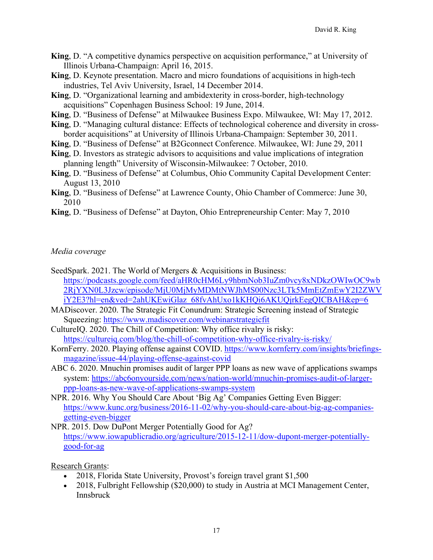- **King**, D. "A competitive dynamics perspective on acquisition performance," at University of Illinois Urbana-Champaign: April 16, 2015.
- **King**, D. Keynote presentation. Macro and micro foundations of acquisitions in high-tech industries, Tel Aviv University, Israel, 14 December 2014.
- **King**, D. "Organizational learning and ambidexterity in cross-border, high-technology acquisitions" Copenhagen Business School: 19 June, 2014.
- **King**, D. "Business of Defense" at Milwaukee Business Expo. Milwaukee, WI: May 17, 2012.
- **King**, D. "Managing cultural distance: Effects of technological coherence and diversity in crossborder acquisitions" at University of Illinois Urbana-Champaign: September 30, 2011.
- **King**, D. "Business of Defense" at B2Gconnect Conference. Milwaukee, WI: June 29, 2011
- **King**, D. Investors as strategic advisors to acquisitions and value implications of integration planning length" University of Wisconsin-Milwaukee: 7 October, 2010.
- **King**, D. "Business of Defense" at Columbus, Ohio Community Capital Development Center: August 13, 2010
- **King**, D. "Business of Defense" at Lawrence County, Ohio Chamber of Commerce: June 30, 2010
- **King**, D. "Business of Defense" at Dayton, Ohio Entrepreneurship Center: May 7, 2010

#### *Media coverage*

- SeedSpark. 2021. The World of Mergers & Acquisitions in Business: https://podcasts.google.com/feed/aHR0cHM6Ly9hbmNob3IuZm0vcy8xNDkzOWIwOC9wb 2RjYXN0L3Jzcw/episode/MjU0MjMyMDMtNWJhMS00Nzc3LTk5MmEtZmEwY2I2ZWV iY2E3?hl=en&ved=2ahUKEwiGlaz\_68fvAhUxo1kKHQi6AKUQjrkEegQICBAH&ep=6
- MADiscover. 2020. The Strategic Fit Conundrum: Strategic Screening instead of Strategic Squeezing: https://www.madiscover.com/webinarstrategicfit
- CultureIQ. 2020. The Chill of Competition: Why office rivalry is risky: https://cultureiq.com/blog/the-chill-of-competition-why-office-rivalry-is-risky/
- KornFerry. 2020. Playing offense against COVID. https://www.kornferry.com/insights/briefingsmagazine/issue-44/playing-offense-against-covid
- ABC 6. 2020. Mnuchin promises audit of larger PPP loans as new wave of applications swamps system: https://abc6onyourside.com/news/nation-world/mnuchin-promises-audit-of-largerppp-loans-as-new-wave-of-applications-swamps-system
- NPR. 2016. Why You Should Care About 'Big Ag' Companies Getting Even Bigger: https://www.kunc.org/business/2016-11-02/why-you-should-care-about-big-ag-companiesgetting-even-bigger
- NPR. 2015. Dow DuPont Merger Potentially Good for Ag? https://www.iowapublicradio.org/agriculture/2015-12-11/dow-dupont-merger-potentiallygood-for-ag

Research Grants:

- 2018, Florida State University, Provost's foreign travel grant \$1,500
- 2018, Fulbright Fellowship (\$20,000) to study in Austria at MCI Management Center, Innsbruck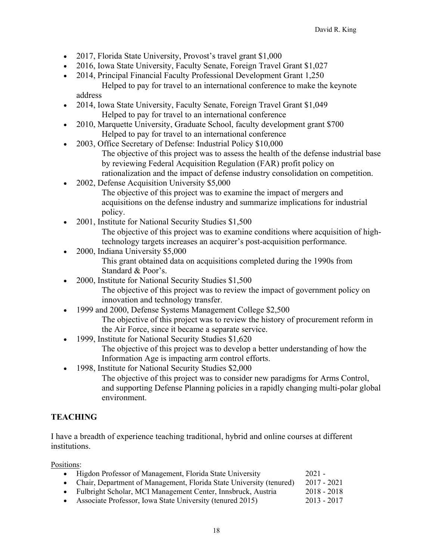- 2017, Florida State University, Provost's travel grant \$1,000
- 2016, Iowa State University, Faculty Senate, Foreign Travel Grant \$1,027
- 2014, Principal Financial Faculty Professional Development Grant 1,250 Helped to pay for travel to an international conference to make the keynote address
- 2014, Iowa State University, Faculty Senate, Foreign Travel Grant \$1,049 Helped to pay for travel to an international conference
- 2010, Marquette University, Graduate School, faculty development grant \$700 Helped to pay for travel to an international conference
- 2003, Office Secretary of Defense: Industrial Policy \$10,000 The objective of this project was to assess the health of the defense industrial base by reviewing Federal Acquisition Regulation (FAR) profit policy on rationalization and the impact of defense industry consolidation on competition.
- 2002, Defense Acquisition University \$5,000 The objective of this project was to examine the impact of mergers and acquisitions on the defense industry and summarize implications for industrial policy.
- 2001, Institute for National Security Studies \$1,500 The objective of this project was to examine conditions where acquisition of hightechnology targets increases an acquirer's post-acquisition performance.
- 2000, Indiana University \$5,000 This grant obtained data on acquisitions completed during the 1990s from Standard & Poor's.
- 2000, Institute for National Security Studies \$1,500 The objective of this project was to review the impact of government policy on innovation and technology transfer.
- 1999 and 2000, Defense Systems Management College \$2,500 The objective of this project was to review the history of procurement reform in the Air Force, since it became a separate service.
- 1999, Institute for National Security Studies \$1,620 The objective of this project was to develop a better understanding of how the Information Age is impacting arm control efforts.
- 1998, Institute for National Security Studies \$2,000
	- The objective of this project was to consider new paradigms for Arms Control, and supporting Defense Planning policies in a rapidly changing multi-polar global environment.

## **TEACHING**

I have a breadth of experience teaching traditional, hybrid and online courses at different institutions.

Positions:

| • Higdon Professor of Management, Florida State University            | $2021 -$      |
|-----------------------------------------------------------------------|---------------|
| • Chair, Department of Management, Florida State University (tenured) | $2017 - 2021$ |
| • Fulbright Scholar, MCI Management Center, Innsbruck, Austria        | $2018 - 2018$ |
| • Associate Professor, Iowa State University (tenured 2015)           | $2013 - 2017$ |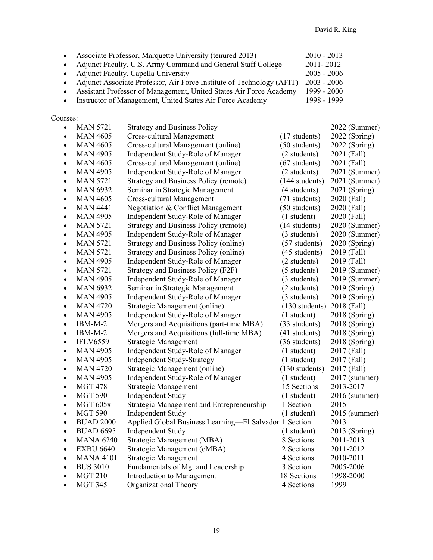| Associate Professor, Marquette University (tenured 2013)     | $2010 - 2013$ |
|--------------------------------------------------------------|---------------|
| Adjunct Faculty, U.S. Army Command and General Staff College | 2011-2012     |
| <b>Adjunct Faculty, Capella University</b>                   | $2005 - 2006$ |

- 
- Adjunct Associate Professor, Air Force Institute of Technology (AFIT) 2003 2006<br>• Assistant Professor of Management, United States Air Force Academy 1999 2000 • Assistant Professor of Management, United States Air Force Academy
- Instructor of Management, United States Air Force Academy 1998 1999

### Courses:

| $\bullet$ | <b>MAN 5721</b>  | <b>Strategy and Business Policy</b>                    |                  | 2022 (Summer) |
|-----------|------------------|--------------------------------------------------------|------------------|---------------|
| $\bullet$ | <b>MAN 4605</b>  | Cross-cultural Management                              | (17 students)    | 2022 (Spring) |
| $\bullet$ | <b>MAN 4605</b>  | Cross-cultural Management (online)                     | (50 students)    | 2022 (Spring) |
| $\bullet$ | <b>MAN 4905</b>  | Independent Study-Role of Manager                      | (2 students)     | 2021 (Fall)   |
| $\bullet$ | <b>MAN 4605</b>  | Cross-cultural Management (online)                     | $(67$ students)  | 2021 (Fall)   |
| $\bullet$ | <b>MAN 4905</b>  | Independent Study-Role of Manager                      | (2 students)     | 2021 (Summer) |
| $\bullet$ | <b>MAN 5721</b>  | <b>Strategy and Business Policy (remote)</b>           | (144 students)   | 2021 (Summer) |
| $\bullet$ | <b>MAN 6932</b>  | Seminar in Strategic Management                        | (4 students)     | 2021 (Spring) |
| $\bullet$ | <b>MAN 4605</b>  | Cross-cultural Management                              | (71 students)    | 2020 (Fall)   |
| $\bullet$ | <b>MAN 4441</b>  | Negotiation & Conflict Management                      | (50 students)    | 2020 (Fall)   |
| $\bullet$ | <b>MAN 4905</b>  | Independent Study-Role of Manager                      | (1 student)      | 2020 (Fall)   |
| $\bullet$ | <b>MAN 5721</b>  | <b>Strategy and Business Policy (remote)</b>           | (14 students)    | 2020 (Summer) |
| $\bullet$ | <b>MAN 4905</b>  | Independent Study-Role of Manager                      | (3 students)     | 2020 (Summer) |
| $\bullet$ | <b>MAN 5721</b>  | Strategy and Business Policy (online)                  | (57 students)    | 2020 (Spring) |
| $\bullet$ | <b>MAN 5721</b>  | Strategy and Business Policy (online)                  | (45 students)    | 2019 (Fall)   |
| $\bullet$ | <b>MAN 4905</b>  | Independent Study-Role of Manager                      | (2 students)     | 2019 (Fall)   |
| $\bullet$ | <b>MAN 5721</b>  | Strategy and Business Policy (F2F)                     | (5 students)     | 2019 (Summer) |
| $\bullet$ | <b>MAN 4905</b>  | Independent Study-Role of Manager                      | (3 students)     | 2019 (Summer) |
| $\bullet$ | <b>MAN 6932</b>  | Seminar in Strategic Management                        | (2 students)     | 2019 (Spring) |
| $\bullet$ | <b>MAN 4905</b>  | Independent Study-Role of Manager                      | (3 students)     | 2019 (Spring) |
| $\bullet$ | <b>MAN 4720</b>  | Strategic Management (online)                          | $(130$ students) | 2018 (Fall)   |
| $\bullet$ | <b>MAN 4905</b>  | Independent Study-Role of Manager                      | $(1$ student)    | 2018 (Spring) |
| $\bullet$ | $IBM-M-2$        | Mergers and Acquisitions (part-time MBA)               | (33 students)    | 2018 (Spring) |
| $\bullet$ | $IBM-M-2$        | Mergers and Acquisitions (full-time MBA)               | (41 students)    | 2018 (Spring) |
| $\bullet$ | <b>IFLV6559</b>  | <b>Strategic Management</b>                            | (36 students)    | 2018 (Spring) |
| $\bullet$ | <b>MAN 4905</b>  | Independent Study-Role of Manager                      | (1 student)      | 2017 (Fall)   |
| $\bullet$ | <b>MAN 4905</b>  | <b>Independent Study-Strategy</b>                      | (1 student)      | 2017 (Fall)   |
| $\bullet$ | <b>MAN 4720</b>  | Strategic Management (online)                          | (130 students)   | 2017 (Fall)   |
| $\bullet$ | <b>MAN 4905</b>  | Independent Study-Role of Manager                      | (1 student)      | 2017 (summer) |
| $\bullet$ | <b>MGT 478</b>   | Strategic Management                                   | 15 Sections      | 2013-2017     |
| $\bullet$ | <b>MGT 590</b>   | <b>Independent Study</b>                               | (1 student)      | 2016 (summer) |
| $\bullet$ | MGT 605x         | Strategic Management and Entrepreneurship              | 1 Section        | 2015          |
| $\bullet$ | <b>MGT 590</b>   | <b>Independent Study</b>                               | (1 student)      | 2015 (summer) |
| $\bullet$ | <b>BUAD 2000</b> | Applied Global Business Learning-El Salvador 1 Section |                  | 2013          |
| $\bullet$ | <b>BUAD 6695</b> | <b>Independent Study</b>                               | (1 student)      | 2013 (Spring) |
| $\bullet$ | <b>MANA 6240</b> | Strategic Management (MBA)                             | 8 Sections       | 2011-2013     |
| $\bullet$ | <b>EXBU 6640</b> | Strategic Management (eMBA)                            | 2 Sections       | 2011-2012     |
| $\bullet$ | <b>MANA 4101</b> | <b>Strategic Management</b>                            | 4 Sections       | 2010-2011     |
| $\bullet$ | <b>BUS 3010</b>  | Fundamentals of Mgt and Leadership                     | 3 Section        | 2005-2006     |
| $\bullet$ | <b>MGT 210</b>   | Introduction to Management                             | 18 Sections      | 1998-2000     |
| $\bullet$ | <b>MGT 345</b>   | Organizational Theory                                  | 4 Sections       | 1999          |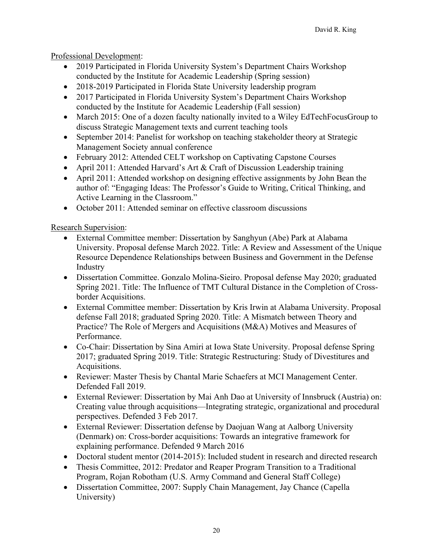## Professional Development:

- 2019 Participated in Florida University System's Department Chairs Workshop conducted by the Institute for Academic Leadership (Spring session)
- 2018-2019 Participated in Florida State University leadership program
- 2017 Participated in Florida University System's Department Chairs Workshop conducted by the Institute for Academic Leadership (Fall session)
- March 2015: One of a dozen faculty nationally invited to a Wiley EdTechFocusGroup to discuss Strategic Management texts and current teaching tools
- September 2014: Panelist for workshop on teaching stakeholder theory at Strategic Management Society annual conference
- February 2012: Attended CELT workshop on Captivating Capstone Courses
- April 2011: Attended Harvard's Art & Craft of Discussion Leadership training
- April 2011: Attended workshop on designing effective assignments by John Bean the author of: "Engaging Ideas: The Professor's Guide to Writing, Critical Thinking, and Active Learning in the Classroom."
- October 2011: Attended seminar on effective classroom discussions

Research Supervision:

- External Committee member: Dissertation by Sanghyun (Abe) Park at Alabama University. Proposal defense March 2022. Title: A Review and Assessment of the Unique Resource Dependence Relationships between Business and Government in the Defense Industry
- Dissertation Committee. Gonzalo Molina-Sieiro. Proposal defense May 2020; graduated Spring 2021. Title: The Influence of TMT Cultural Distance in the Completion of Crossborder Acquisitions.
- External Committee member: Dissertation by Kris Irwin at Alabama University. Proposal defense Fall 2018; graduated Spring 2020. Title: A Mismatch between Theory and Practice? The Role of Mergers and Acquisitions (M&A) Motives and Measures of Performance.
- Co-Chair: Dissertation by Sina Amiri at Iowa State University. Proposal defense Spring 2017; graduated Spring 2019. Title: Strategic Restructuring: Study of Divestitures and Acquisitions.
- Reviewer: Master Thesis by Chantal Marie Schaefers at MCI Management Center. Defended Fall 2019.
- External Reviewer: Dissertation by Mai Anh Dao at University of Innsbruck (Austria) on: Creating value through acquisitions—Integrating strategic, organizational and procedural perspectives. Defended 3 Feb 2017.
- External Reviewer: Dissertation defense by Daojuan Wang at Aalborg University (Denmark) on: Cross-border acquisitions: Towards an integrative framework for explaining performance. Defended 9 March 2016
- Doctoral student mentor (2014-2015): Included student in research and directed research
- Thesis Committee, 2012: Predator and Reaper Program Transition to a Traditional Program, Rojan Robotham (U.S. Army Command and General Staff College)
- Dissertation Committee, 2007: Supply Chain Management, Jay Chance (Capella University)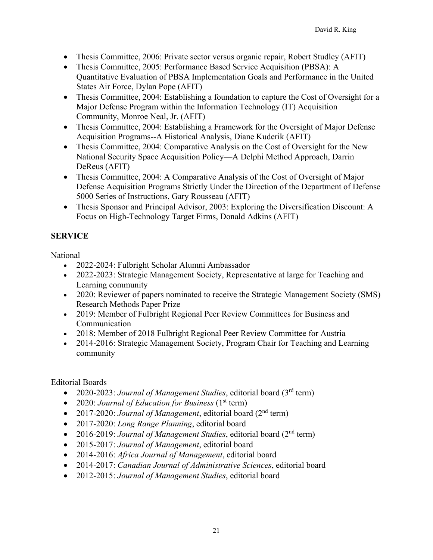- Thesis Committee, 2006: Private sector versus organic repair, Robert Studley (AFIT)
- Thesis Committee, 2005: Performance Based Service Acquisition (PBSA): A Quantitative Evaluation of PBSA Implementation Goals and Performance in the United States Air Force, Dylan Pope (AFIT)
- Thesis Committee, 2004: Establishing a foundation to capture the Cost of Oversight for a Major Defense Program within the Information Technology (IT) Acquisition Community, Monroe Neal, Jr. (AFIT)
- Thesis Committee, 2004: Establishing a Framework for the Oversight of Major Defense Acquisition Programs--A Historical Analysis, Diane Kuderik (AFIT)
- Thesis Committee, 2004: Comparative Analysis on the Cost of Oversight for the New National Security Space Acquisition Policy—A Delphi Method Approach, Darrin DeReus (AFIT)
- Thesis Committee, 2004: A Comparative Analysis of the Cost of Oversight of Major Defense Acquisition Programs Strictly Under the Direction of the Department of Defense 5000 Series of Instructions, Gary Rousseau (AFIT)
- Thesis Sponsor and Principal Advisor, 2003: Exploring the Diversification Discount: A Focus on High-Technology Target Firms, Donald Adkins (AFIT)

# **SERVICE**

National

- 2022-2024: Fulbright Scholar Alumni Ambassador
- 2022-2023: Strategic Management Society, Representative at large for Teaching and Learning community
- 2020: Reviewer of papers nominated to receive the Strategic Management Society (SMS) Research Methods Paper Prize
- 2019: Member of Fulbright Regional Peer Review Committees for Business and Communication
- 2018: Member of 2018 Fulbright Regional Peer Review Committee for Austria
- 2014-2016: Strategic Management Society, Program Chair for Teaching and Learning community

Editorial Boards

- 2020-2023: *Journal of Management Studies*, editorial board (3rd term)
- 2020: *Journal of Education for Business* (1<sup>st</sup> term)
- 2017-2020: *Journal of Management*, editorial board (2<sup>nd</sup> term)
- 2017-2020: *Long Range Planning*, editorial board
- 2016-2019: *Journal of Management Studies*, editorial board (2<sup>nd</sup> term)
- 2015-2017: *Journal of Management*, editorial board
- 2014-2016: *Africa Journal of Management*, editorial board
- 2014-2017: *Canadian Journal of Administrative Sciences*, editorial board
- 2012-2015: *Journal of Management Studies*, editorial board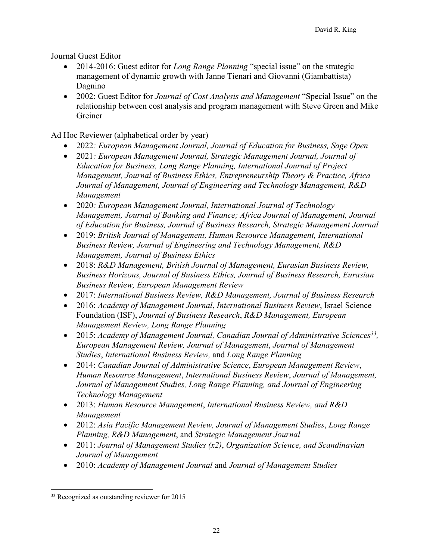Journal Guest Editor

- 2014-2016: Guest editor for *Long Range Planning* "special issue" on the strategic management of dynamic growth with Janne Tienari and Giovanni (Giambattista) Dagnino
- 2002: Guest Editor for *Journal of Cost Analysis and Management* "Special Issue" on the relationship between cost analysis and program management with Steve Green and Mike Greiner

Ad Hoc Reviewer (alphabetical order by year)

- 2022*: European Management Journal, Journal of Education for Business, Sage Open*
- 2021*: European Management Journal, Strategic Management Journal, Journal of Education for Business, Long Range Planning, International Journal of Project Management, Journal of Business Ethics, Entrepreneurship Theory & Practice, Africa Journal of Management, Journal of Engineering and Technology Management, R&D Management*
- 2020*: European Management Journal, International Journal of Technology Management, Journal of Banking and Finance; Africa Journal of Management, Journal of Education for Business, Journal of Business Research, Strategic Management Journal*
- 2019: *British Journal of Management, Human Resource Management, International Business Review, Journal of Engineering and Technology Management, R&D Management, Journal of Business Ethics*
- 2018: *R&D Management, British Journal of Management, Eurasian Business Review, Business Horizons, Journal of Business Ethics, Journal of Business Research, Eurasian Business Review, European Management Review*
- 2017: *International Business Review, R&D Management, Journal of Business Research*
- 2016: *Academy of Management Journal*, *International Business Review*, Israel Science Foundation (ISF), *Journal of Business Research*, *R&D Management, European Management Review, Long Range Planning*
- 2015: *Academy of Management Journal, Canadian Journal of Administrative Sciences*<sup>33</sup>, *European Management Review, Journal of Management*, *Journal of Management Studies*, *International Business Review,* and *Long Range Planning*
- 2014: *Canadian Journal of Administrative Science*, *European Management Review*, *Human Resource Management*, *International Business Review*, *Journal of Management, Journal of Management Studies, Long Range Planning, and Journal of Engineering Technology Management*
- 2013: *Human Resource Management*, *International Business Review, and R&D Management*
- 2012: *Asia Pacific Management Review, Journal of Management Studies*, *Long Range Planning, R&D Management*, and *Strategic Management Journal*
- 2011: *Journal of Management Studies (x2)*, *Organization Science, and Scandinavian Journal of Management*
- 2010: *Academy of Management Journal* and *Journal of Management Studies*

<sup>&</sup>lt;sup>33</sup> Recognized as outstanding reviewer for 2015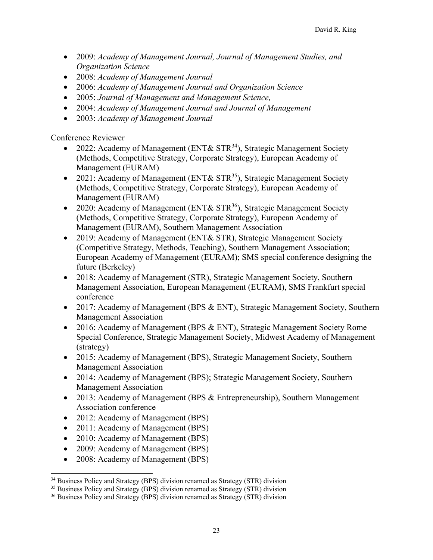- 2009: *Academy of Management Journal, Journal of Management Studies, and Organization Science*
- 2008: *Academy of Management Journal*
- 2006: *Academy of Management Journal and Organization Science*
- 2005: *Journal of Management and Management Science,*
- 2004: *Academy of Management Journal and Journal of Management*
- 2003: *Academy of Management Journal*

Conference Reviewer

- 2022: Academy of Management (ENT&  $STR^{34}$ ), Strategic Management Society (Methods, Competitive Strategy, Corporate Strategy), European Academy of Management (EURAM)
- 2021: Academy of Management (ENT&  $STR^{35}$ ), Strategic Management Society (Methods, Competitive Strategy, Corporate Strategy), European Academy of Management (EURAM)
- 2020: Academy of Management (ENT &  $STR^{36}$ ), Strategic Management Society (Methods, Competitive Strategy, Corporate Strategy), European Academy of Management (EURAM), Southern Management Association
- 2019: Academy of Management (ENT& STR), Strategic Management Society (Competitive Strategy, Methods, Teaching), Southern Management Association; European Academy of Management (EURAM); SMS special conference designing the future (Berkeley)
- 2018: Academy of Management (STR), Strategic Management Society, Southern Management Association, European Management (EURAM), SMS Frankfurt special conference
- 2017: Academy of Management (BPS & ENT), Strategic Management Society, Southern Management Association
- 2016: Academy of Management (BPS & ENT), Strategic Management Society Rome Special Conference, Strategic Management Society, Midwest Academy of Management (strategy)
- 2015: Academy of Management (BPS), Strategic Management Society, Southern Management Association
- 2014: Academy of Management (BPS); Strategic Management Society, Southern Management Association
- 2013: Academy of Management (BPS & Entrepreneurship), Southern Management Association conference
- 2012: Academy of Management (BPS)
- 2011: Academy of Management (BPS)
- 2010: Academy of Management (BPS)
- 2009: Academy of Management (BPS)
- 2008: Academy of Management (BPS)

<sup>&</sup>lt;sup>34</sup> Business Policy and Strategy (BPS) division renamed as Strategy (STR) division

<sup>&</sup>lt;sup>35</sup> Business Policy and Strategy (BPS) division renamed as Strategy (STR) division

<sup>&</sup>lt;sup>36</sup> Business Policy and Strategy (BPS) division renamed as Strategy (STR) division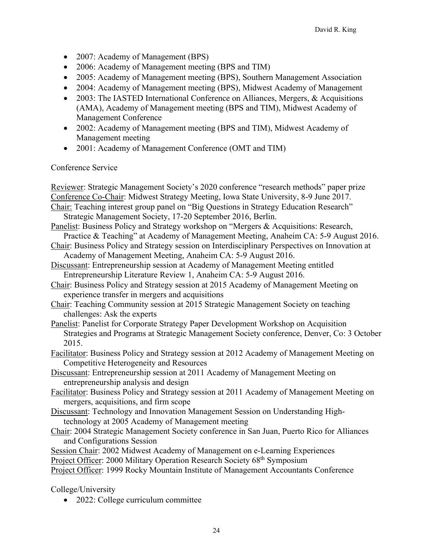- 2007: Academy of Management (BPS)
- 2006: Academy of Management meeting (BPS and TIM)
- 2005: Academy of Management meeting (BPS), Southern Management Association
- 2004: Academy of Management meeting (BPS), Midwest Academy of Management
- 2003: The IASTED International Conference on Alliances, Mergers, & Acquisitions (AMA), Academy of Management meeting (BPS and TIM), Midwest Academy of Management Conference
- 2002: Academy of Management meeting (BPS and TIM), Midwest Academy of Management meeting
- 2001: Academy of Management Conference (OMT and TIM)

## Conference Service

| Reviewer: Strategic Management Society's 2020 conference "research methods" paper prize        |
|------------------------------------------------------------------------------------------------|
| Conference Co-Chair: Midwest Strategy Meeting, Iowa State University, 8-9 June 2017.           |
| Chair: Teaching interest group panel on "Big Questions in Strategy Education Research"         |
| Strategic Management Society, 17-20 September 2016, Berlin.                                    |
| Panelist: Business Policy and Strategy workshop on "Mergers & Acquisitions: Research,          |
| Practice & Teaching" at Academy of Management Meeting, Anaheim CA: 5-9 August 2016.            |
| Chair: Business Policy and Strategy session on Interdisciplinary Perspectives on Innovation at |
| Academy of Management Meeting, Anaheim CA: 5-9 August 2016.                                    |
| Discussant: Entrepreneurship session at Academy of Management Meeting entitled                 |
| Entrepreneurship Literature Review 1, Anaheim CA: 5-9 August 2016.                             |
|                                                                                                |
| Chair: Business Policy and Strategy session at 2015 Academy of Management Meeting on           |
| experience transfer in mergers and acquisitions                                                |
| Chair: Teaching Community session at 2015 Strategic Management Society on teaching             |
| challenges: Ask the experts                                                                    |
| Panelist: Panelist for Corporate Strategy Paper Development Workshop on Acquisition            |
| Strategies and Programs at Strategic Management Society conference, Denver, Co: 3 October      |
| 2015.                                                                                          |
| Facilitator: Business Policy and Strategy session at 2012 Academy of Management Meeting on     |
| Competitive Heterogeneity and Resources                                                        |
| Discussant: Entrepreneurship session at 2011 Academy of Management Meeting on                  |
| entrepreneurship analysis and design                                                           |
| Facilitator: Business Policy and Strategy session at 2011 Academy of Management Meeting on     |
| mergers, acquisitions, and firm scope                                                          |
| Discussant: Technology and Innovation Management Session on Understanding High-                |
| technology at 2005 Academy of Management meeting                                               |
| Chair: 2004 Strategic Management Society conference in San Juan, Puerto Rico for Alliances     |
| and Configurations Session                                                                     |
| Session Chair: 2002 Midwest Academy of Management on e-Learning Experiences                    |
|                                                                                                |
| Project Officer: 2000 Military Operation Research Society 68 <sup>th</sup> Symposium           |
| Project Officer: 1999 Rocky Mountain Institute of Management Accountants Conference            |
|                                                                                                |

College/University

• 2022: College curriculum committee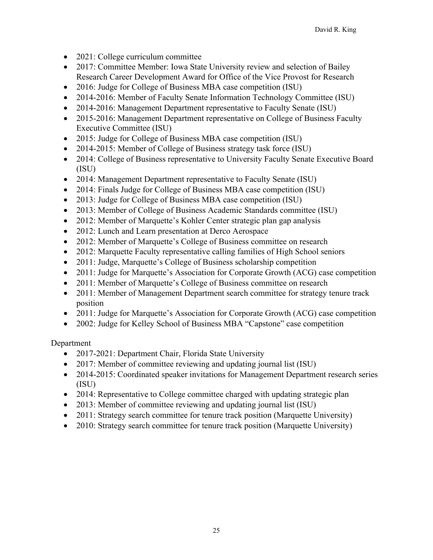- 2021: College curriculum committee
- 2017: Committee Member: Iowa State University review and selection of Bailey Research Career Development Award for Office of the Vice Provost for Research
- 2016: Judge for College of Business MBA case competition (ISU)
- 2014-2016: Member of Faculty Senate Information Technology Committee (ISU)
- 2014-2016: Management Department representative to Faculty Senate (ISU)
- 2015-2016: Management Department representative on College of Business Faculty Executive Committee (ISU)
- 2015: Judge for College of Business MBA case competition (ISU)
- 2014-2015: Member of College of Business strategy task force (ISU)
- 2014: College of Business representative to University Faculty Senate Executive Board (ISU)
- 2014: Management Department representative to Faculty Senate (ISU)
- 2014: Finals Judge for College of Business MBA case competition (ISU)
- 2013: Judge for College of Business MBA case competition (ISU)
- 2013: Member of College of Business Academic Standards committee (ISU)
- 2012: Member of Marquette's Kohler Center strategic plan gap analysis
- 2012: Lunch and Learn presentation at Derco Aerospace
- 2012: Member of Marquette's College of Business committee on research
- 2012: Marquette Faculty representative calling families of High School seniors
- 2011: Judge, Marquette's College of Business scholarship competition
- 2011: Judge for Marquette's Association for Corporate Growth (ACG) case competition
- 2011: Member of Marquette's College of Business committee on research
- 2011: Member of Management Department search committee for strategy tenure track position
- 2011: Judge for Marquette's Association for Corporate Growth (ACG) case competition
- 2002: Judge for Kelley School of Business MBA "Capstone" case competition

Department

- 2017-2021: Department Chair, Florida State University
- 2017: Member of committee reviewing and updating journal list (ISU)
- 2014-2015: Coordinated speaker invitations for Management Department research series (ISU)
- 2014: Representative to College committee charged with updating strategic plan
- 2013: Member of committee reviewing and updating journal list (ISU)
- 2011: Strategy search committee for tenure track position (Marquette University)
- 2010: Strategy search committee for tenure track position (Marquette University)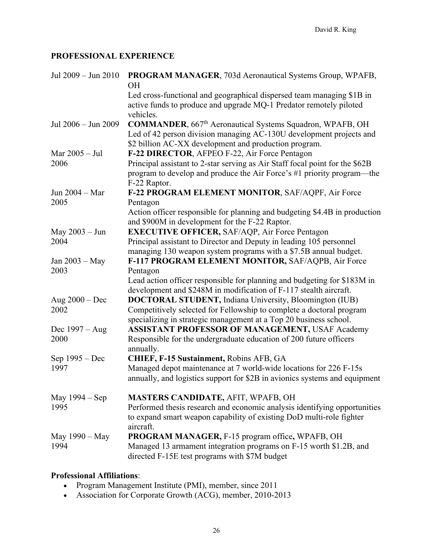# **PROFESSIONAL EXPERIENCE**

| Jul 2009 - Jun 2010 | PROGRAM MANAGER, 703d Aeronautical Systems Group, WPAFB,<br><b>OH</b>                                                                                                                                         |
|---------------------|---------------------------------------------------------------------------------------------------------------------------------------------------------------------------------------------------------------|
|                     | Led cross-functional and geographical dispersed team managing \$1B in<br>active funds to produce and upgrade MQ-1 Predator remotely piloted<br>vehicles.                                                      |
| Jul 2006 - Jun 2009 | <b>COMMANDER</b> , 667 <sup>th</sup> Aeronautical Systems Squadron, WPAFB, OH<br>Led of 42 person division managing AC-130U development projects and<br>\$2 billion AC-XX development and production program. |
| Mar 2005 - Jul      | F-22 DIRECTOR, AFPEO F-22, Air Force Pentagon                                                                                                                                                                 |
| 2006                | Principal assistant to 2-star serving as Air Staff focal point for the \$62B<br>program to develop and produce the Air Force's #1 priority program—the<br>F-22 Raptor.                                        |
| Jun 2004 - Mar      | F-22 PROGRAM ELEMENT MONITOR, SAF/AQPF, Air Force                                                                                                                                                             |
| 2005                | Pentagon                                                                                                                                                                                                      |
|                     | Action officer responsible for planning and budgeting \$4.4B in production<br>and \$900M in development for the F-22 Raptor.                                                                                  |
| May 2003 - Jun      | <b>EXECUTIVE OFFICER, SAF/AQP, Air Force Pentagon</b>                                                                                                                                                         |
| 2004                | Principal assistant to Director and Deputy in leading 105 personnel                                                                                                                                           |
|                     | managing 130 weapon system programs with a \$7.5B annual budget.                                                                                                                                              |
| Jan 2003 - May      | F-117 PROGRAM ELEMENT MONITOR, SAF/AQPB, Air Force                                                                                                                                                            |
| 2003                | Pentagon                                                                                                                                                                                                      |
|                     | Lead action officer responsible for planning and budgeting for \$183M in                                                                                                                                      |
|                     | development and \$248M in modification of F-117 stealth aircraft.                                                                                                                                             |
| Aug $2000 - Dec$    | <b>DOCTORAL STUDENT, Indiana University, Bloomington (IUB)</b>                                                                                                                                                |
| 2002                | Competitively selected for Fellowship to complete a doctoral program<br>specializing in strategic management at a Top 20 business school.                                                                     |
| Dec $1997 - Aug$    | <b>ASSISTANT PROFESSOR OF MANAGEMENT, USAF Academy</b>                                                                                                                                                        |
| 2000                | Responsible for the undergraduate education of 200 future officers<br>annually.                                                                                                                               |
| Sep 1995 – Dec      | CHIEF, F-15 Sustainment, Robins AFB, GA                                                                                                                                                                       |
| 1997                | Managed depot maintenance at 7 world-wide locations for 226 F-15s                                                                                                                                             |
|                     | annually, and logistics support for \$2B in avionics systems and equipment                                                                                                                                    |
| May 1994 – Sep      | <b>MASTERS CANDIDATE, AFIT, WPAFB, OH</b>                                                                                                                                                                     |
| 1995                | Performed thesis research and economic analysis identifying opportunities                                                                                                                                     |
|                     | to expand smart weapon capability of existing DoD multi-role fighter<br>aircraft.                                                                                                                             |
| May 1990 - May      | <b>PROGRAM MANAGER, F-15 program office, WPAFB, OH</b>                                                                                                                                                        |
| 1994                | Managed 13 armament integration programs on F-15 worth \$1.2B, and<br>directed F-15E test programs with \$7M budget                                                                                           |

# **Professional Affiliations**:

- Program Management Institute (PMI), member, since 2011
- Association for Corporate Growth (ACG), member, 2010-2013